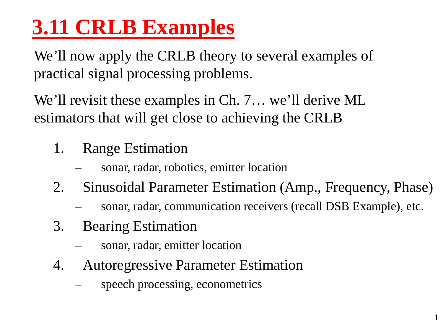# **3.11 CRLB Examples**

We'll now apply the CRLB theory to several examples of practical signal processing problems.

We'll revisit these examples in Ch. 7… we'll derive ML estimators that will get close to achieving the CRLB

- 1. Range Estimation
	- sonar, radar, robotics, emitter location
- 2. Sinusoidal Parameter Estimation (Amp., Frequency, Phase)
	- sonar, radar, communication receivers (recall DSB Example), etc.

1

- 3. Bearing Estimation
	- sonar, radar, emitter location
- 4. Autoregressive Parameter Estimation
	- speech processing, econometrics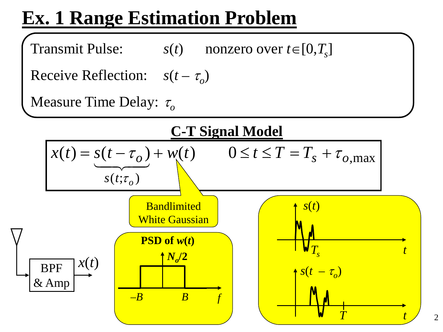### **Ex. 1 Range Estimation Problem**

Transmit Pulse:  $s(t)$  nonzero over  $t \in [0, T_s]$ 

Receive Reflection:  $s(t - \tau_0)$ 

**Measure Time Delay:** τ<sub>o</sub>

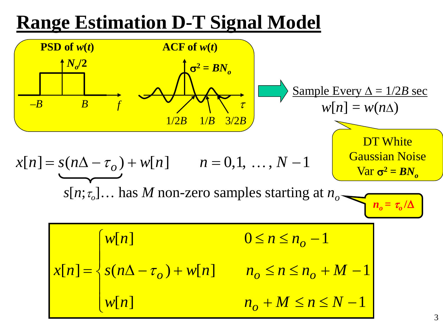#### **Range Estimation D-T Signal Model**

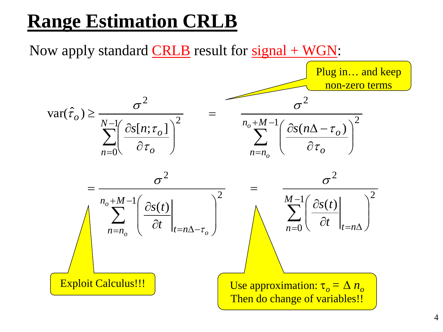#### **Range Estimation CRLB**

Now apply standard  $CRLB$  result for  $signal + WGN$ :

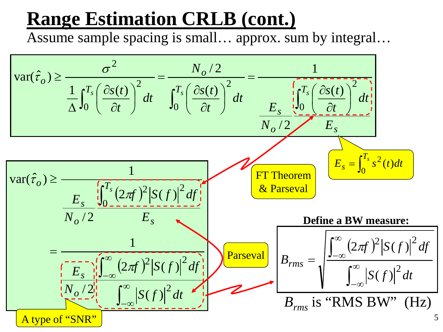#### **Range Estimation CRLB (cont.)**

Assume sample spacing is small… approx. sum by integral…

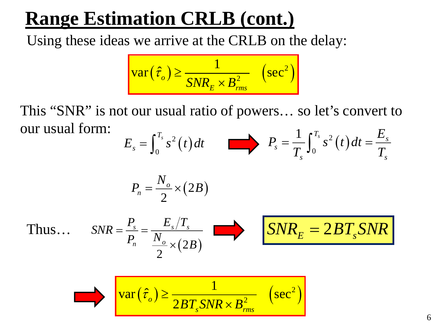#### **Range Estimation CRLB (cont.)**

Using these ideas we arrive at the CRLB on the delay:

$$
\text{var}(\hat{\tau}_o) \ge \frac{1}{SNR_E \times B_{rms}^2} \quad \left(\text{sec}^2\right)
$$

This "SNR" is not our usual ratio of powers… so let's convert to our usual form:

$$
E_s = \int_0^{T_s} s^2(t) dt \qquad \qquad \blacktriangleright \quad P_s = \frac{1}{T_s} \int_0^{T_s} s^2(t) dt = \frac{E_s}{T_s}
$$

$$
P_n=\frac{N_o}{2}\times(2B)
$$

Thus…

$$
SNR = \frac{P_s}{P_n} = \frac{E_s/T_s}{\frac{N_o}{2} \times (2B)} \qquad SNR_E = 2BT_sSNR
$$

$$
\text{var}(\hat{\tau}_o) \ge \frac{1}{2BT_sSNR \times B_{rms}^2} \quad \left(\text{sec}^2\right)
$$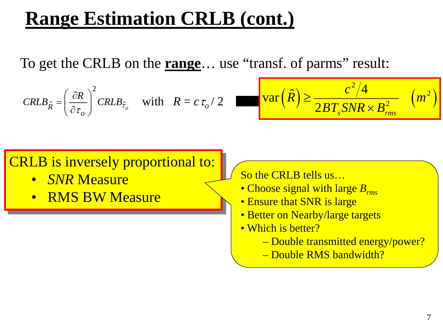#### **Range Estimation CRLB (cont.)**

To get the CRLB on the **range**… use "transf. of parms" result:

$$
CRLB_{\hat{R}} = \left(\frac{\partial R}{\partial \tau_o}\right)^2 CRLB_{\hat{\tau}_o} \quad \text{with} \quad R = c \tau_o / 2
$$

$$
\text{var}(\hat{R}) \ge \frac{c^2/4}{2BT_sSNR \times B_{rms}^2} \quad (m^2)
$$

#### CRLB is inversely proportional to:

- *SNR* Measure
- RMS BW Measure

So the CRLB tells us…

- Choose signal with large *Brms*
- Ensure that SNR is large
- Better on Nearby/large targets
- Which is better?
	- Double transmitted energy/power?
	- Double RMS bandwidth?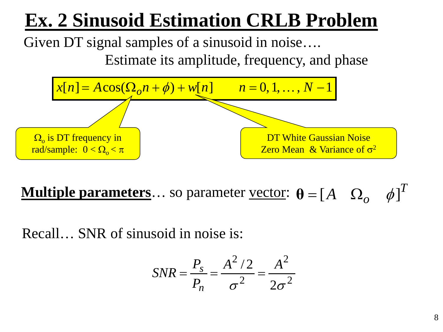## **Ex. 2 Sinusoid Estimation CRLB Problem**

Given DT signal samples of a sinusoid in noise….

Estimate its amplitude, frequency, and phase



**Multiple parameters**… so parameter <u>vector</u>:  $\theta = [A \ \Omega_{\alpha} \ \phi]^T$ 

Recall… SNR of sinusoid in noise is:

$$
SNR = \frac{P_s}{P_n} = \frac{A^2/2}{\sigma^2} = \frac{A^2}{2\sigma^2}
$$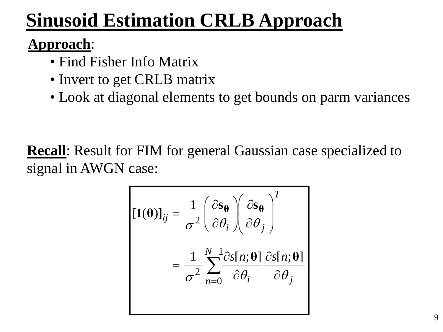## **Sinusoid Estimation CRLB Approach**

#### **Approach**:

- Find Fisher Info Matrix
- Invert to get CRLB matrix
- Look at diagonal elements to get bounds on parm variances

**Recall**: Result for FIM for general Gaussian case specialized to signal in AWGN case:

$$
\begin{aligned} \left[\mathbf{I}(\mathbf{\theta})\right]_{ij} &= \frac{1}{\sigma^2} \left(\frac{\partial \mathbf{s}_{\mathbf{\theta}}}{\partial \theta_i}\right) \left(\frac{\partial \mathbf{s}_{\mathbf{\theta}}}{\partial \theta_j}\right)^T \\ &= \frac{1}{\sigma^2} \sum_{n=0}^{N-1} \frac{\partial s[n; \mathbf{\theta}]}{\partial \theta_i} \frac{\partial s[n; \mathbf{\theta}]}{\partial \theta_j} \end{aligned}
$$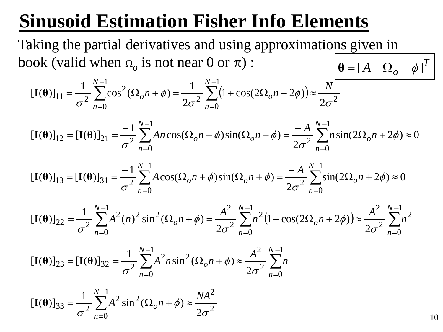### **Sinusoid Estimation Fisher Info Elements**

Taking the partial derivatives and using approximations given in book (valid when  $\Omega$ <sub>o</sub> is not near 0 or  $\pi$ ) :  $\theta = [A \ \Omega_o \ \phi]^T$ 

$$
\left[\mathbf{I}(\mathbf{\theta})\right]_{11} = \frac{1}{\sigma^2} \sum_{n=0}^{N-1} \cos^2(\Omega_o n + \phi) = \frac{1}{2\sigma^2} \sum_{n=0}^{N-1} \left(1 + \cos(2\Omega_o n + 2\phi)\right) \approx \frac{N}{2\sigma^2}
$$

$$
[\mathbf{I}(\mathbf{\theta})]_{12} = [\mathbf{I}(\mathbf{\theta})]_{21} = \frac{-1}{\sigma^2} \sum_{n=0}^{N-1} An \cos(\Omega_o n + \phi) \sin(\Omega_o n + \phi) = \frac{-A}{2\sigma^2} \sum_{n=0}^{N-1} n \sin(2\Omega_o n + 2\phi) \approx 0
$$

$$
[\mathbf{I}(\mathbf{\theta})]_{13} = [\mathbf{I}(\mathbf{\theta})]_{31} = \frac{-1}{\sigma^2} \sum_{n=0}^{N-1} A \cos(\Omega_o n + \phi) \sin(\Omega_o n + \phi) = \frac{-A}{2\sigma^2} \sum_{n=0}^{N-1} \sin(2\Omega_o n + 2\phi) \approx 0
$$

$$
\left[\mathbf{I}(\mathbf{\theta})\right]_{22} = \frac{1}{\sigma^2} \sum_{n=0}^{N-1} A^2(n)^2 \sin^2(\Omega_o n + \phi) = \frac{A^2}{2\sigma^2} \sum_{n=0}^{N-1} n^2 \left(1 - \cos(2\Omega_o n + 2\phi)\right) \approx \frac{A^2}{2\sigma^2} \sum_{n=0}^{N-1} n^2
$$

$$
\left[\mathbf{I}(\mathbf{\theta})\right]_{23} = \left[\mathbf{I}(\mathbf{\theta})\right]_{32} = \frac{1}{\sigma^2} \sum_{n=0}^{N-1} A^2 n \sin^2(\Omega_o n + \phi) \approx \frac{A^2}{2\sigma^2} \sum_{n=0}^{N-1} n
$$

$$
[\mathbf{I}(\mathbf{\theta})]_{33} = \frac{1}{\sigma^2} \sum_{n=0}^{N-1} A^2 \sin^2(\Omega_o n + \phi) \approx \frac{NA^2}{2\sigma^2}
$$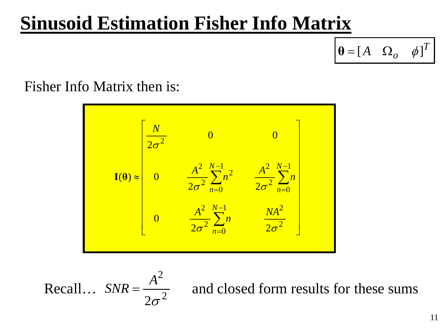#### **Sinusoid Estimation Fisher Info Matrix**

 $\theta = [A \ \Omega_o \ \phi]^T$ 

Fisher Info Matrix then is:

$$
\mathbf{I}(\theta) \approx \begin{bmatrix} \frac{N}{2\sigma^2} & 0 & 0\\ 0 & \frac{A^2}{2\sigma^2} \sum_{n=0}^{N-1} n^2 & \frac{A^2}{2\sigma^2} \sum_{n=0}^{N-1} n\\ 0 & \frac{A^2}{2\sigma^2} \sum_{n=0}^{N-1} n & \frac{NA^2}{2\sigma^2} \end{bmatrix}
$$

Recall... 
$$
SNR = \frac{A^2}{2\sigma^2}
$$

and closed form results for these sums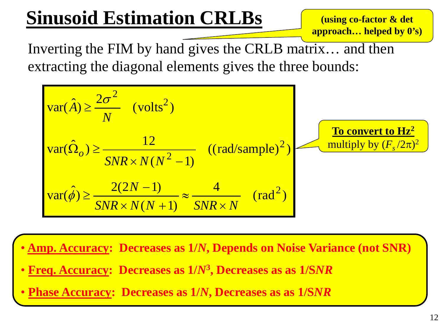## **Sinusoid Estimation CRLBs**

**(using co-factor & det approach… helped by 0's)**

Inverting the FIM by hand gives the CRLB matrix… and then extracting the diagonal elements gives the three bounds:



- **Amp. Accuracy: Decreases as 1/***N***, Depends on Noise Variance (not SNR)**
- **Freq. Accuracy: Decreases as 1/***N***3, Decreases as as 1/S***NR*
- **Phase Accuracy: Decreases as 1/***N***, Decreases as as 1/S***NR*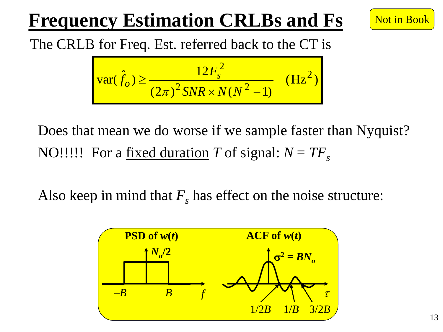## **Frequency Estimation CRLBs and Fs**



The CRLB for Freq. Est. referred back to the CT is

$$
\text{var}(\hat{f}_o) \ge \frac{12F_s^2}{(2\pi)^2 \text{SNR} \times N(N^2 - 1)} \quad (\text{Hz}^2)
$$

Does that mean we do worse if we sample faster than Nyquist? NO!!!!! For a <u>fixed duration</u> *T* of signal:  $N = TF_s$ 

Also keep in mind that  $F<sub>s</sub>$  has effect on the noise structure:

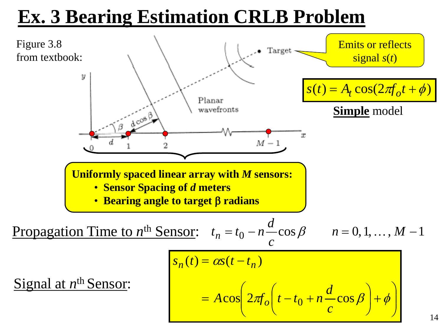#### **Ex. 3 Bearing Estimation CRLB Problem**

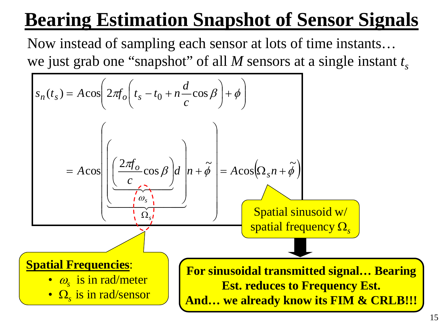## **Bearing Estimation Snapshot of Sensor Signals**

Now instead of sampling each sensor at lots of time instants… we just grab one "snapshot" of all  $M$  sensors at a single instant  $t_s$ 

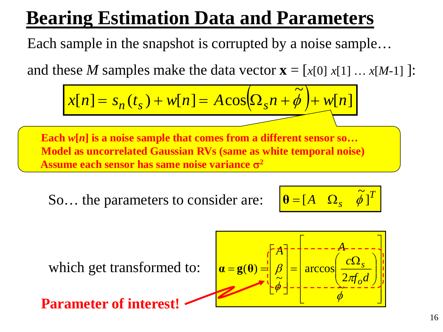#### **Bearing Estimation Data and Parameters**

Each sample in the snapshot is corrupted by a noise sample…

and these *M* samples make the data vector  $\mathbf{x} = [x[0] x[1] ... x[M-1] ]$ :

$$
x[n] = s_n(t_s) + w[n] = A\cos(\Omega_s n + \tilde{\phi}) + w[n]
$$

**Each** *w***[***n***] is a noise sample that comes from a different sensor so… Model as uncorrelated Gaussian RVs (same as white temporal noise) Assume each sensor has same noise variance** σ**<sup>2</sup>**

So... the parameters to consider are:

$$
\boxed{\boldsymbol{\theta} = [A \quad \Omega_s \quad \tilde{\phi}]^T}
$$

which get transformed to:

**Parameter of interest!**

 Ω = = = φ <sup>π</sup> <sup>φ</sup> β ~ 2 arccos <sup>~</sup> ( ) *<sup>f</sup> <sup>d</sup> c A A o <sup>s</sup>* **α g θ**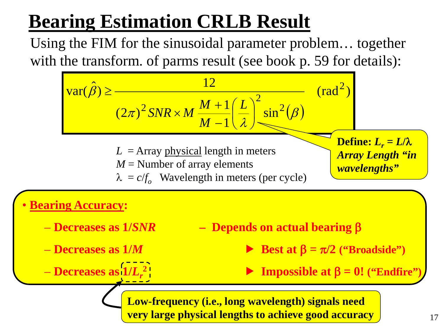## **Bearing Estimation CRLB Result**

Using the FIM for the sinusoidal parameter problem… together with the transform. of parms result (see book p. 59 for details):

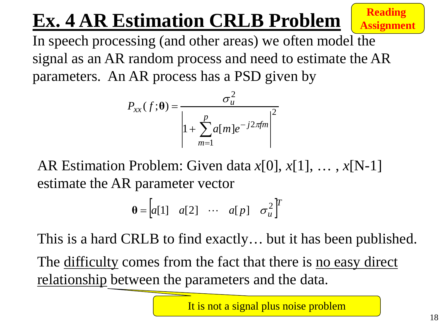# **Ex. 4 AR Estimation CRLB Problem Reading**

**Assignment**

In speech processing (and other areas) we often model the signal as an AR random process and need to estimate the AR parameters. An AR process has a PSD given by

$$
P_{xx}(f; \theta) = \frac{\sigma_u^2}{\left| 1 + \sum_{m=1}^p a[m] e^{-j2\pi f m} \right|^2}
$$

AR Estimation Problem: Given data *x*[0], *x*[1], … , *x*[N-1] estimate the AR parameter vector

$$
\mathbf{\theta} = \begin{bmatrix} a[1] & a[2] & \cdots & a[p] & \sigma_u^2 \end{bmatrix}^T
$$

This is a hard CRLB to find exactly… but it has been published.

The difficulty comes from the fact that there is no easy direct relationship between the parameters and the data.

It is not a signal plus noise problem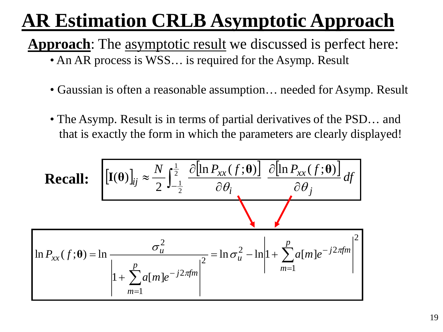## **AR Estimation CRLB Asymptotic Approach**

**Approach**: The asymptotic result we discussed is perfect here:

- An AR process is WSS... is required for the Asymp. Result
- Gaussian is often a reasonable assumption... needed for Asymp. Result
- The Asymp. Result is in terms of partial derivatives of the PSD... and that is exactly the form in which the parameters are clearly displayed!

Recall: 
$$
\left[\mathbf{I}(\mathbf{\theta})\right]_{ij} \approx \frac{N}{2} \int_{-\frac{1}{2}}^{\frac{1}{2}} \frac{\partial[\ln P_{xx}(f; \mathbf{\theta})]}{\partial \theta_{i}} \frac{\partial[\ln P_{xx}(f; \mathbf{\theta})]}{\partial \theta_{j}} df\right]
$$

$$
\ln P_{xx}(f; \mathbf{\theta}) = \ln \frac{\sigma_{u}^{2}}{\left|1 + \sum_{m=1}^{p} a[m]e^{-j2\pi f m}\right|^{2}} = \ln \sigma_{u}^{2} - \ln \left|1 + \sum_{m=1}^{p} a[m]e^{-j2\pi f m}\right|^{2}
$$